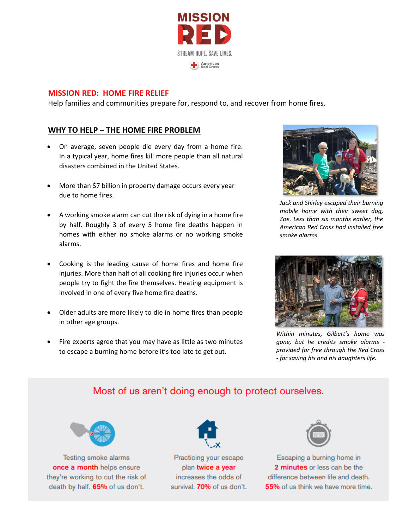

#### **MISSION RED: HOME FIRE RELIEF**

Help families and communities prepare for, respond to, and recover from home fires.

#### **WHY TO HELP – THE HOME FIRE PROBLEM**

- On average, seven people die every day from a home fire. In a typical year, home fires kill more people than all natural disasters combined in the United States.
- More than \$7 billion in property damage occurs every year due to home fires.
- A working smoke alarm can cut the risk of dying in a home fire by half. Roughly 3 of every 5 home fire deaths happen in homes with either no smoke alarms or no working smoke alarms.
- Cooking is the leading cause of home fires and home fire injuries. More than half of all cooking fire injuries occur when people try to fight the fire themselves. Heating equipment is involved in one of every five home fire deaths.
- Older adults are more likely to die in home fires than people in other age groups.
- Fire experts agree that you may have as little as two minutes to escape a burning home before it's too late to get out.



*Jack and Shirley escaped their burning mobile home with their sweet dog, Zoe. Less than six months earlier, the American Red Cross had installed free smoke alarms.*



*Within minutes, Gilbert's home was gone, but he credits smoke alarms provided for free through the Red Cross - for saving his and his daughters life.* 

# Most of us aren't doing enough to protect ourselves.



Testing smoke alarms once a month helps ensure they're working to cut the risk of death by half. 65% of us don't.



Practicing your escape plan twice a year increases the odds of survival. 70% of us don't.



Escaping a burning home in 2 minutes or less can be the difference between life and death. 55% of us think we have more time.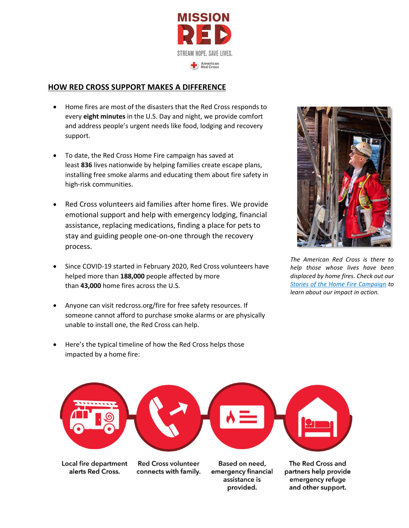

#### **HOW RED CROSS SUPPORT MAKES A DIFFERENCE**

- Home fires are most of the disasters that the Red Cross responds to every **eight minutes** in the U.S. Day and night, we provide comfort and address people's urgent needs like food, lodging and recovery support.
- To date, the Red Cross Home Fire campaign has saved at least **836** lives nationwide by helping families create escape plans, installing free smoke alarms and educating them about fire safety in high-risk communities.
- assistance, replacing medications, finding a place for pets to • Red Cross volunteers aid families after home fires. We provide emotional support and help with emergency lodging, financial stay and guiding people one-on-one through the recovery process.
- Since COVID-19 started in February 2020, Red Cross volunteers have helped more than **188,000** people affected by more than **43,000** home fires across the U.S.
- Anyone can visit [redcross.org/fire](https://www.redcross.org/fire) for free safety resources. If someone cannot afford to purchase smoke alarms or are physically unable to install one, the Red Cross can help.
- Here's the typical timeline of how the Red Cross helps those impacted by a home fire:



*The American Red Cross is there to help those whose lives have been displaced by home fires. Check out our [Stories of the Home Fire Campaign](https://www.redcross.org/get-help/how-to-prepare-for-emergencies/types-of-emergencies/fire/prevent-home-fire/home-fire-stories.html) to learn about our impact in action.* 



Local fire department alerts Red Cross.

**Red Cross volunteer** connects with family.

Based on need, emergency financial assistance is provided.

The Red Cross and partners help provide emergency refuge and other support.